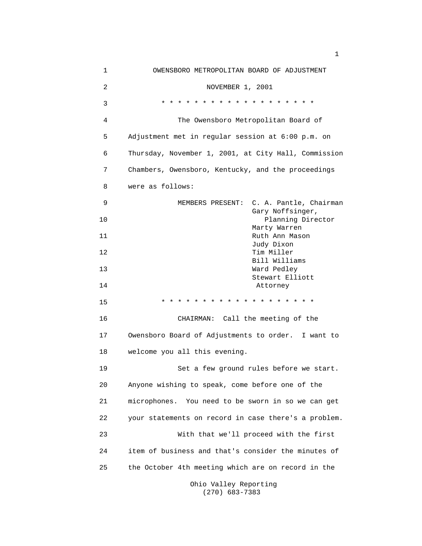| 1  | OWENSBORO METROPOLITAN BOARD OF ADJUSTMENT           |
|----|------------------------------------------------------|
| 2  | NOVEMBER 1, 2001                                     |
| 3  | $* * *$<br>$\star$<br>* * * * * *<br>$\star$         |
| 4  | The Owensboro Metropolitan Board of                  |
| 5  | Adjustment met in regular session at 6:00 p.m. on    |
| 6  | Thursday, November 1, 2001, at City Hall, Commission |
| 7  | Chambers, Owensboro, Kentucky, and the proceedings   |
| 8  | were as follows:                                     |
| 9  | C. A. Pantle, Chairman<br>MEMBERS PRESENT:           |
| 10 | Gary Noffsinger,<br>Planning Director                |
| 11 | Marty Warren<br>Ruth Ann Mason                       |
| 12 | Judy Dixon<br>Tim Miller                             |
| 13 | Bill Williams<br>Ward Pedley                         |
| 14 | Stewart Elliott<br>Attorney                          |
| 15 | * * * * * * * * * * *<br>$\star$<br>$\star$ $\star$  |
| 16 | CHAIRMAN: Call the meeting of the                    |
| 17 | Owensboro Board of Adjustments to order. I want to   |
| 18 | welcome you all this evening.                        |
| 19 | Set a few ground rules before we start.              |
| 20 | Anyone wishing to speak, come before one of the      |
| 21 | microphones. You need to be sworn in so we can get   |
| 22 | your statements on record in case there's a problem. |
| 23 | With that we'll proceed with the first               |
| 24 | item of business and that's consider the minutes of  |
| 25 | the October 4th meeting which are on record in the   |
|    | Ohio Valley Reporting                                |

(270) 683-7383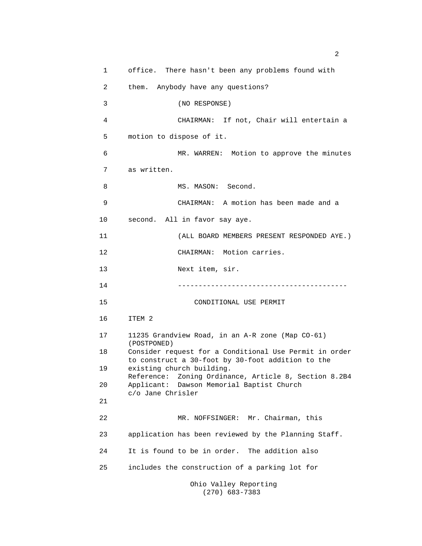1 office. There hasn't been any problems found with 2 them. Anybody have any questions? 3 (NO RESPONSE) 4 CHAIRMAN: If not, Chair will entertain a 5 motion to dispose of it. 6 MR. WARREN: Motion to approve the minutes 7 as written. 8 MS. MASON: Second. 9 CHAIRMAN: A motion has been made and a 10 second. All in favor say aye. 11 (ALL BOARD MEMBERS PRESENT RESPONDED AYE.) 12 CHAIRMAN: Motion carries. 13 Next item, sir. 14 ----------------------------------------- 15 CONDITIONAL USE PERMIT 16 ITEM 2 17 11235 Grandview Road, in an A-R zone (Map CO-61) (POSTPONED) 18 Consider request for a Conditional Use Permit in order to construct a 30-foot by 30-foot addition to the 19 existing church building. Reference: Zoning Ordinance, Article 8, Section 8.2B4 20 Applicant: Dawson Memorial Baptist Church c/o Jane Chrisler 21 22 MR. NOFFSINGER: Mr. Chairman, this 23 application has been reviewed by the Planning Staff. 24 It is found to be in order. The addition also 25 includes the construction of a parking lot for Ohio Valley Reporting

(270) 683-7383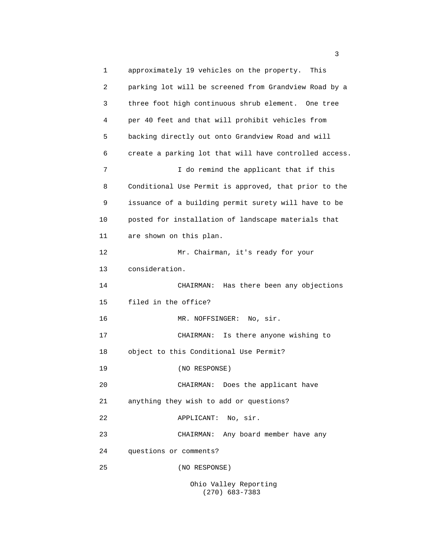1 approximately 19 vehicles on the property. This 2 parking lot will be screened from Grandview Road by a 3 three foot high continuous shrub element. One tree 4 per 40 feet and that will prohibit vehicles from 5 backing directly out onto Grandview Road and will 6 create a parking lot that will have controlled access. 7 I do remind the applicant that if this 8 Conditional Use Permit is approved, that prior to the 9 issuance of a building permit surety will have to be 10 posted for installation of landscape materials that 11 are shown on this plan. 12 Mr. Chairman, it's ready for your 13 consideration. 14 CHAIRMAN: Has there been any objections 15 filed in the office? 16 MR. NOFFSINGER: No, sir. 17 CHAIRMAN: Is there anyone wishing to 18 object to this Conditional Use Permit? 19 (NO RESPONSE) 20 CHAIRMAN: Does the applicant have 21 anything they wish to add or questions? 22 APPLICANT: No, sir. 23 CHAIRMAN: Any board member have any 24 questions or comments? 25 (NO RESPONSE)

Ohio Valley Reporting (270) 683-7383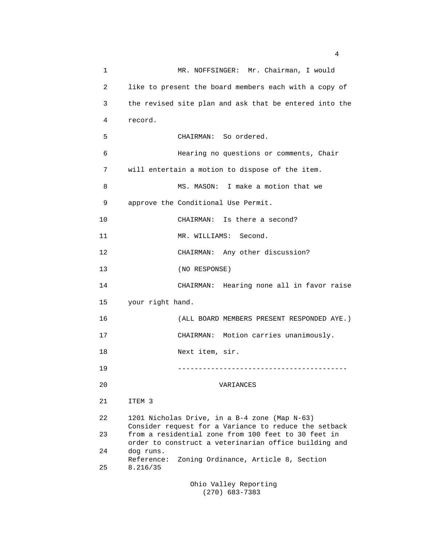1 MR. NOFFSINGER: Mr. Chairman, I would 2 like to present the board members each with a copy of 3 the revised site plan and ask that be entered into the 4 record. 5 CHAIRMAN: So ordered. 6 Hearing no questions or comments, Chair 7 will entertain a motion to dispose of the item. 8 MS. MASON: I make a motion that we 9 approve the Conditional Use Permit. 10 CHAIRMAN: Is there a second? 11 MR. WILLIAMS: Second. 12 CHAIRMAN: Any other discussion? 13 (NO RESPONSE) 14 CHAIRMAN: Hearing none all in favor raise 15 your right hand. 16 (ALL BOARD MEMBERS PRESENT RESPONDED AYE.) 17 CHAIRMAN: Motion carries unanimously. 18 Next item, sir. 19 ----------------------------------------- 20 VARIANCES 21 ITEM 3 22 1201 Nicholas Drive, in a B-4 zone (Map N-63) Consider request for a Variance to reduce the setback 23 from a residential zone from 100 feet to 30 feet in order to construct a veterinarian office building and 24 dog runs. Reference: Zoning Ordinance, Article 8, Section 25 8.216/35 Ohio Valley Reporting

4

(270) 683-7383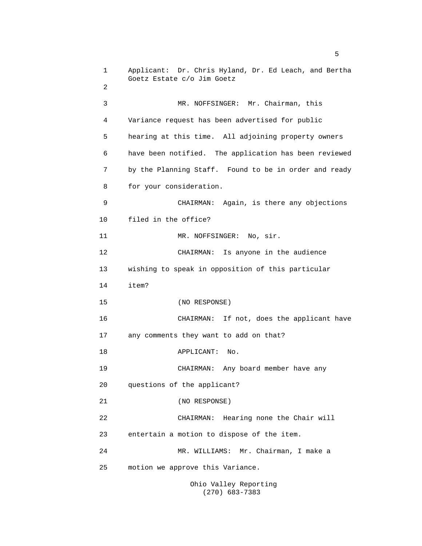1 Applicant: Dr. Chris Hyland, Dr. Ed Leach, and Bertha Goetz Estate c/o Jim Goetz 2 3 MR. NOFFSINGER: Mr. Chairman, this 4 Variance request has been advertised for public 5 hearing at this time. All adjoining property owners 6 have been notified. The application has been reviewed 7 by the Planning Staff. Found to be in order and ready 8 for your consideration. 9 CHAIRMAN: Again, is there any objections 10 filed in the office? 11 MR. NOFFSINGER: No, sir. 12 CHAIRMAN: Is anyone in the audience 13 wishing to speak in opposition of this particular 14 item? 15 (NO RESPONSE) 16 CHAIRMAN: If not, does the applicant have 17 any comments they want to add on that? 18 APPLICANT: No. 19 CHAIRMAN: Any board member have any 20 questions of the applicant? 21 (NO RESPONSE) 22 CHAIRMAN: Hearing none the Chair will 23 entertain a motion to dispose of the item. 24 MR. WILLIAMS: Mr. Chairman, I make a 25 motion we approve this Variance.

Ohio Valley Reporting (270) 683-7383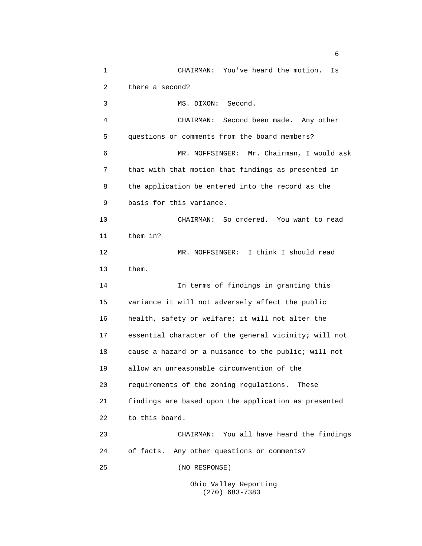1 CHAIRMAN: You've heard the motion. Is 2 there a second? 3 MS. DIXON: Second. 4 CHAIRMAN: Second been made. Any other 5 questions or comments from the board members? 6 MR. NOFFSINGER: Mr. Chairman, I would ask 7 that with that motion that findings as presented in 8 the application be entered into the record as the 9 basis for this variance. 10 CHAIRMAN: So ordered. You want to read 11 them in? 12 MR. NOFFSINGER: I think I should read 13 them. 14 In terms of findings in granting this 15 variance it will not adversely affect the public 16 health, safety or welfare; it will not alter the 17 essential character of the general vicinity; will not 18 cause a hazard or a nuisance to the public; will not 19 allow an unreasonable circumvention of the 20 requirements of the zoning regulations. These 21 findings are based upon the application as presented 22 to this board. 23 CHAIRMAN: You all have heard the findings 24 of facts. Any other questions or comments? 25 (NO RESPONSE)

Ohio Valley Reporting (270) 683-7383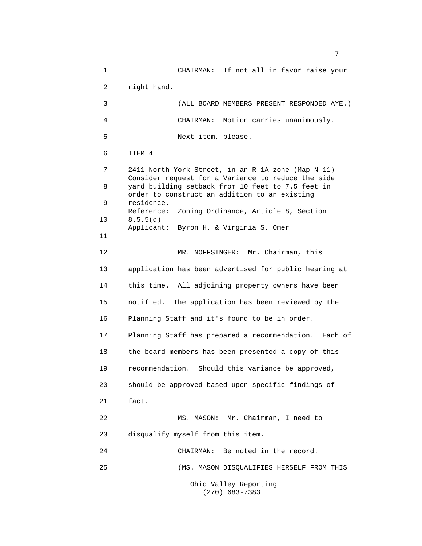1 CHAIRMAN: If not all in favor raise your 2 right hand. 3 (ALL BOARD MEMBERS PRESENT RESPONDED AYE.) 4 CHAIRMAN: Motion carries unanimously. 5 Next item, please. 6 ITEM 4 7 2411 North York Street, in an R-1A zone (Map N-11) Consider request for a Variance to reduce the side 8 yard building setback from 10 feet to 7.5 feet in order to construct an addition to an existing 9 residence. Reference: Zoning Ordinance, Article 8, Section 10 8.5.5(d) Applicant: Byron H. & Virginia S. Omer 11 12 MR. NOFFSINGER: Mr. Chairman, this 13 application has been advertised for public hearing at 14 this time. All adjoining property owners have been 15 notified. The application has been reviewed by the 16 Planning Staff and it's found to be in order. 17 Planning Staff has prepared a recommendation. Each of 18 the board members has been presented a copy of this 19 recommendation. Should this variance be approved, 20 should be approved based upon specific findings of 21 fact. 22 MS. MASON: Mr. Chairman, I need to 23 disqualify myself from this item. 24 CHAIRMAN: Be noted in the record. 25 (MS. MASON DISQUALIFIES HERSELF FROM THIS Ohio Valley Reporting

(270) 683-7383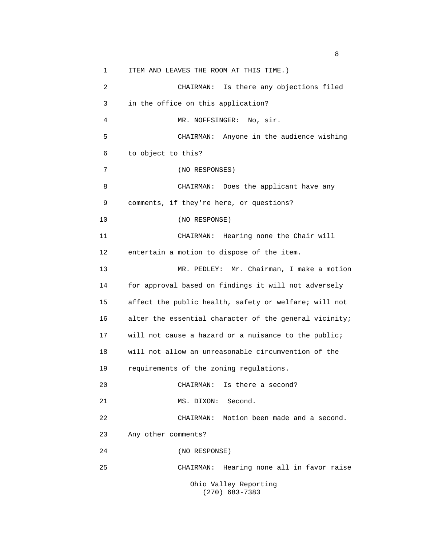1 ITEM AND LEAVES THE ROOM AT THIS TIME.) 2 CHAIRMAN: Is there any objections filed 3 in the office on this application? 4 MR. NOFFSINGER: No, sir. 5 CHAIRMAN: Anyone in the audience wishing 6 to object to this? 7 (NO RESPONSES) 8 CHAIRMAN: Does the applicant have any 9 comments, if they're here, or questions? 10 (NO RESPONSE) 11 CHAIRMAN: Hearing none the Chair will 12 entertain a motion to dispose of the item. 13 MR. PEDLEY: Mr. Chairman, I make a motion 14 for approval based on findings it will not adversely 15 affect the public health, safety or welfare; will not 16 alter the essential character of the general vicinity; 17 will not cause a hazard or a nuisance to the public; 18 will not allow an unreasonable circumvention of the 19 requirements of the zoning regulations. 20 CHAIRMAN: Is there a second? 21 MS. DIXON: Second. 22 CHAIRMAN: Motion been made and a second. 23 Any other comments? 24 (NO RESPONSE) 25 CHAIRMAN: Hearing none all in favor raise Ohio Valley Reporting (270) 683-7383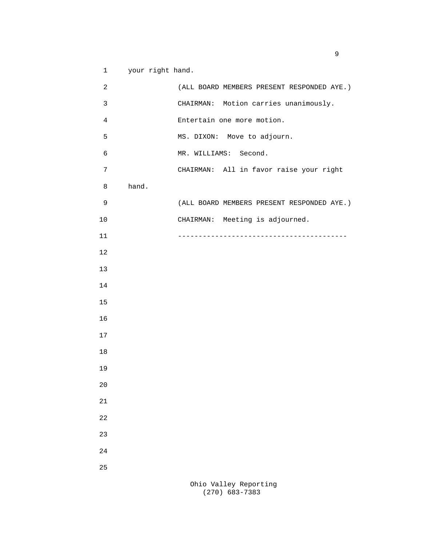1 your right hand.

| $\overline{c}$ |       | (ALL BOARD MEMBERS PRESENT RESPONDED AYE.) |
|----------------|-------|--------------------------------------------|
| 3              |       | CHAIRMAN: Motion carries unanimously.      |
| 4              |       | Entertain one more motion.                 |
| 5              |       | MS. DIXON: Move to adjourn.                |
| 6              |       | MR. WILLIAMS: Second.                      |
| 7              |       | CHAIRMAN: All in favor raise your right    |
| 8              | hand. |                                            |
| 9              |       | (ALL BOARD MEMBERS PRESENT RESPONDED AYE.) |
| 10             |       | CHAIRMAN: Meeting is adjourned.            |
| 11             |       |                                            |
| 12             |       |                                            |
| 13             |       |                                            |
| 14             |       |                                            |
| $15$           |       |                                            |
| 16             |       |                                            |
| 17             |       |                                            |
| 18             |       |                                            |
| 19             |       |                                            |
| 20             |       |                                            |
| 21             |       |                                            |
| 22             |       |                                            |
| 23             |       |                                            |
| 24             |       |                                            |
| 25             |       |                                            |
|                |       |                                            |